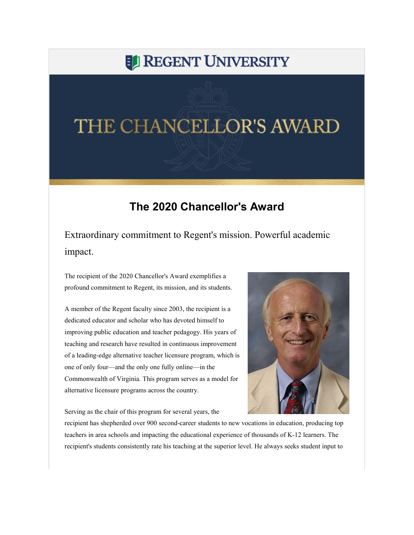## **EL REGENT UNIVERSITY**

## THE CHANCELLOR'S AWARD

## **The 2020 Chancellor's Award**

Extraordinary commitment to Regent's mission. Powerful academic impact.

The recipient of the 2020 Chancellor's Award exemplifies a profound commitment to Regent, its mission, and its students.

A member of the Regent faculty since 2003, the recipient is a dedicated educator and scholar who has devoted himself to improving public education and teacher pedagogy. His years of teaching and research have resulted in continuous improvement of a leading-edge alternative teacher licensure program, which is one of only four—and the only one fully online—in the Commonwealth of Virginia. This program serves as a model for alternative licensure programs across the country.

Serving as the chair of this program for several years, the



recipient has shepherded over 900 second-career students to new vocations in education, producing top teachers in area schools and impacting the educational experience of thousands of K-12 learners. The recipient's students consistently rate his teaching at the superior level. He always seeks student input to